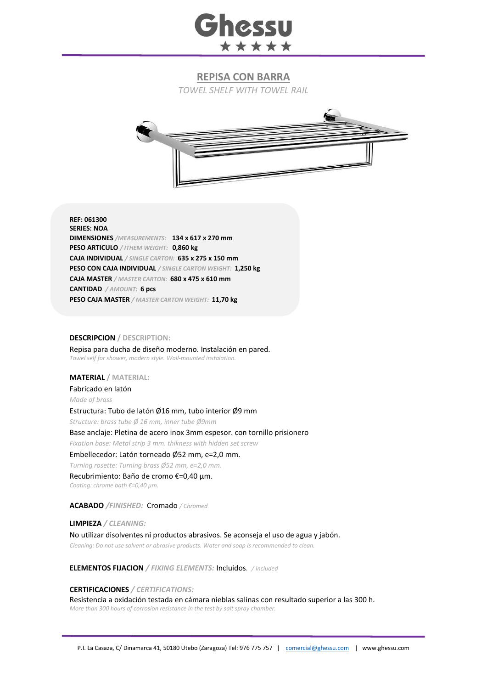

# **REPISA CON BARRA**

*TOWEL SHELF WITH TOWEL RAIL* 



**REF: 061300 SERIES: NOA DIMENSIONES** */MEASUREMENTS:* **134 x 617 x 270 mm PESO ARTICULO** */ ITHEM WEIGHT:* **0,860 kg CAJA INDIVIDUAL** */ SINGLE CARTON:* **635 x 275 x 150 mm PESO CON CAJA INDIVIDUAL** */ SINGLE CARTON WEIGHT:* **1,250 kg CAJA MASTER** */ MASTER CARTON:* **680 x 475 x 610 mm CANTIDAD** */ AMOUNT:* **6 pcs PESO CAJA MASTER** */ MASTER CARTON WEIGHT:* **11,70 kg**

## **DESCRIPCION / DESCRIPTION:**

Repisa para ducha de diseño moderno. Instalación en pared. *Towel self for shower, modern style. Wall-mounted instalation.*

## **MATERIAL / MATERIAL:**

Fabricado en latón

*Made of brass*

#### Estructura: Tubo de latón Ø16 mm, tubo interior Ø9 mm

*Structure: brass tube Ø 16 mm, inner tube Ø9mm*

Base anclaje: Pletina de acero inox 3mm espesor. con tornillo prisionero

*Fixation base: Metal strip 3 mm. thikness with hidden set screw*

## Embellecedor: Latón torneado Ø52 mm, e=2,0 mm.

*Turning rosette: Turning brass Ø52 mm, e=2,0 mm.*

Recubrimiento: Baño de cromo €=0,40 μm.

*Coating: chrome bath €=0,40 μm.*

#### **ACABADO** */FINISHED:*Cromado */ Chromed*

**LIMPIEZA** */ CLEANING:* No utilizar disolventes ni productos abrasivos. Se aconseja el uso de agua y jabón. *Cleaning: Do not use solvent or abrasive products. Water and soap is recommended to clean.*

# **ELEMENTOS FIJACION** */ FIXING ELEMENTS:* Incluidos*. / Included*

#### **CERTIFICACIONES** */ CERTIFICATIONS:*

Resistencia a oxidación testada en cámara nieblas salinas con resultado superior a las 300 h. *More than 300 hours of corrosion resistance in the test by salt spray chamber.*